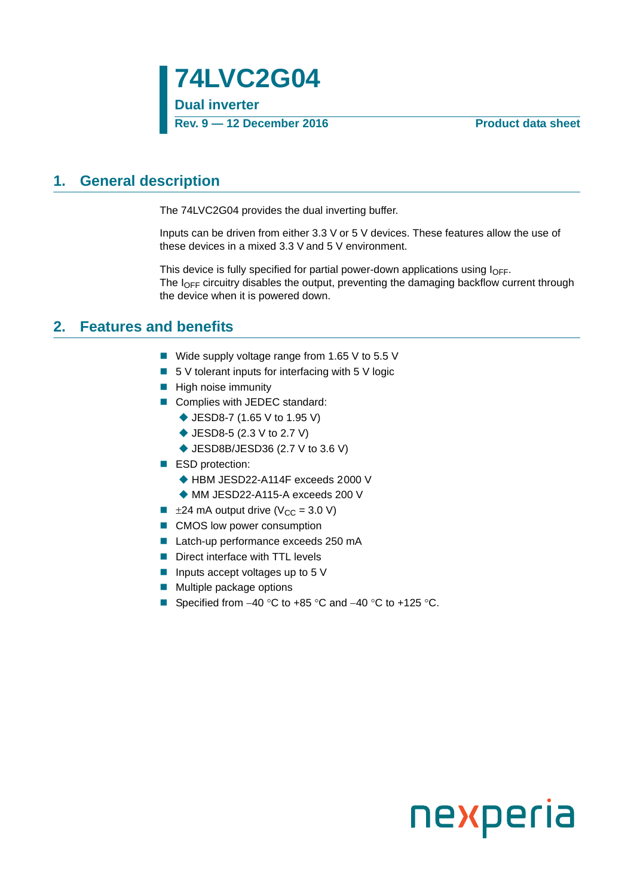#### <span id="page-0-0"></span>**1. General description**

The 74LVC2G04 provides the dual inverting buffer.

Inputs can be driven from either 3.3 V or 5 V devices. These features allow the use of these devices in a mixed 3.3 V and 5 V environment.

This device is fully specified for partial power-down applications using  $I_{\text{OFF}}$ . The  $I_{\text{OFF}}$  circuitry disables the output, preventing the damaging backflow current through the device when it is powered down.

#### <span id="page-0-1"></span>**2. Features and benefits**

- Wide supply voltage range from 1.65 V to 5.5 V
- $\blacksquare$  5 V tolerant inputs for interfacing with 5 V logic
- $\blacksquare$  High noise immunity
- Complies with JEDEC standard:
	- ◆ JESD8-7 (1.65 V to 1.95 V)
	- ◆ JESD8-5 (2.3 V to 2.7 V)
	- ◆ JESD8B/JESD36 (2.7 V to 3.6 V)
- ESD protection:
	- ◆ HBM JESD22-A114F exceeds 2000 V
	- MM JESD22-A115-A exceeds 200 V
- $\blacksquare$  ±24 mA output drive (V<sub>CC</sub> = 3.0 V)
- CMOS low power consumption
- Latch-up performance exceeds 250 mA
- Direct interface with TTL levels
- **Inputs accept voltages up to 5 V**
- **Multiple package options**
- Specified from  $-40$  °C to  $+85$  °C and  $-40$  °C to  $+125$  °C.

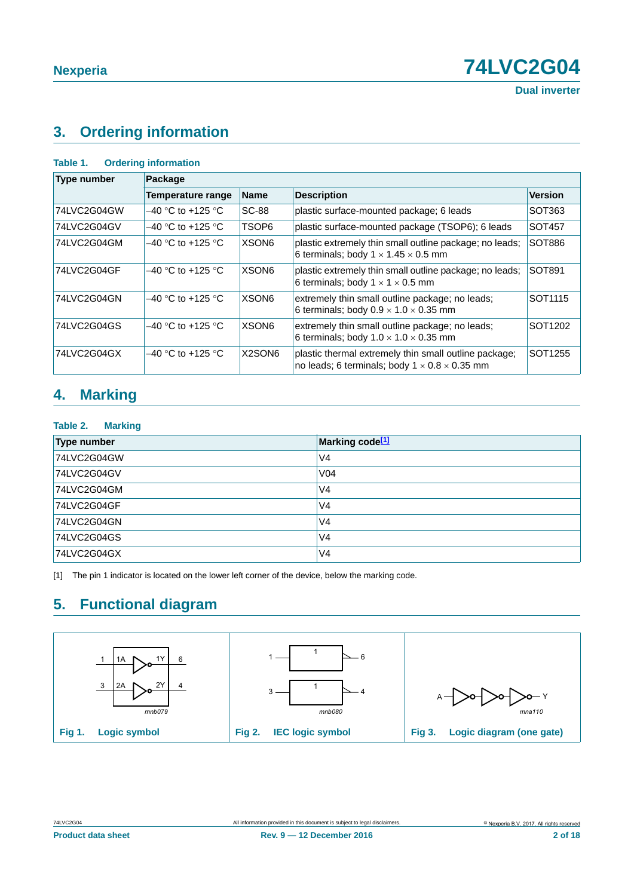## <span id="page-1-1"></span>**3. Ordering information**

#### **Table 1. Ordering information**

| <b>Type number</b> | Package                  |                   |                                                                                                                    |                     |  |  |  |  |
|--------------------|--------------------------|-------------------|--------------------------------------------------------------------------------------------------------------------|---------------------|--|--|--|--|
|                    | <b>Temperature range</b> | <b>Name</b>       | <b>Description</b>                                                                                                 | Version             |  |  |  |  |
| 74LVC2G04GW        | –40 °C to +125 °C        | <b>SC-88</b>      | plastic surface-mounted package; 6 leads                                                                           | SOT <sub>363</sub>  |  |  |  |  |
| 74LVC2G04GV        | –40 °C to +125 °C        | TSOP6             | plastic surface-mounted package (TSOP6); 6 leads                                                                   | SOT457              |  |  |  |  |
| 74LVC2G04GM        | –40 °C to +125 °C        | XSON <sub>6</sub> | plastic extremely thin small outline package; no leads;<br>6 terminals; body $1 \times 1.45 \times 0.5$ mm         | SOT886              |  |  |  |  |
| 74LVC2G04GF        | –40 °C to +125 °C        | XSON <sub>6</sub> | plastic extremely thin small outline package; no leads;<br>6 terminals; body $1 \times 1 \times 0.5$ mm            | SOT891              |  |  |  |  |
| 74LVC2G04GN        | $-40$ °C to +125 °C      | XSON6             | extremely thin small outline package; no leads;<br>6 terminals; body $0.9 \times 1.0 \times 0.35$ mm               | SOT <sub>1115</sub> |  |  |  |  |
| 74LVC2G04GS        | –40 °C to +125 °C        | XSON <sub>6</sub> | extremely thin small outline package; no leads;<br>6 terminals; body $1.0 \times 1.0 \times 0.35$ mm               | SOT <sub>1202</sub> |  |  |  |  |
| 74LVC2G04GX        | –40 °C to +125 °C        | X2SON6            | plastic thermal extremely thin small outline package;<br>no leads; 6 terminals; body $1 \times 0.8 \times 0.35$ mm | SOT1255             |  |  |  |  |

## <span id="page-1-2"></span>**4. Marking**

#### **Table 2. Marking**

| Type number | Marking code <sup>[1]</sup> |
|-------------|-----------------------------|
| 74LVC2G04GW | V4                          |
| 74LVC2G04GV | V <sub>04</sub>             |
| 74LVC2G04GM | V <sub>4</sub>              |
| 74LVC2G04GF | V <sub>4</sub>              |
| 74LVC2G04GN | V <sub>4</sub>              |
| 74LVC2G04GS | V4                          |
| 74LVC2G04GX | V <sub>4</sub>              |

<span id="page-1-0"></span>[1] The pin 1 indicator is located on the lower left corner of the device, below the marking code.

## <span id="page-1-3"></span>**5. Functional diagram**



© Nexperia B.V. 2017. All rights reserved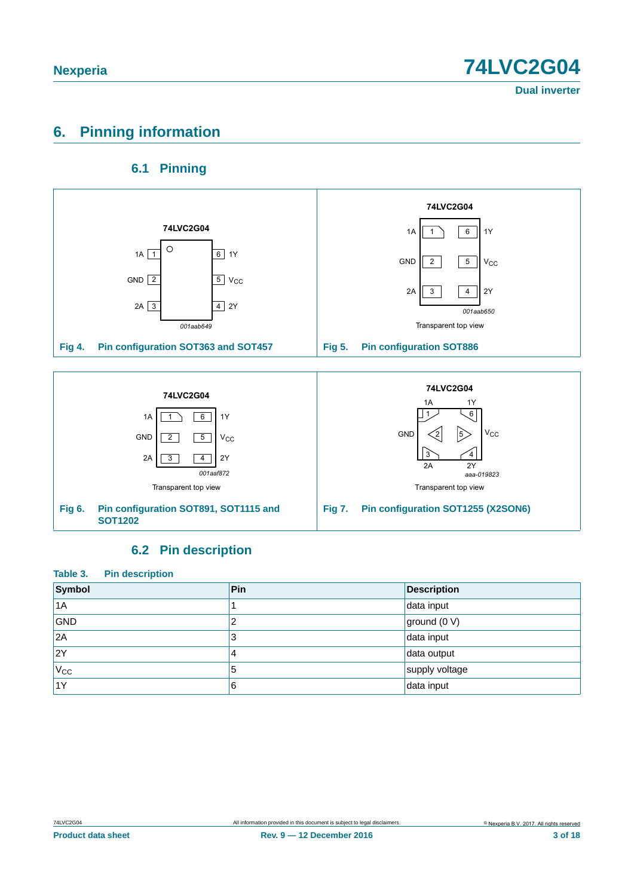## <span id="page-2-0"></span>**6. Pinning information**

#### **6.1 Pinning**

<span id="page-2-1"></span>

#### **6.2 Pin description**

<span id="page-2-2"></span>

| Table 3.<br><b>Pin description</b> |     |                    |  |  |  |
|------------------------------------|-----|--------------------|--|--|--|
| Symbol                             | Pin | <b>Description</b> |  |  |  |
| 1A                                 |     | data input         |  |  |  |
| GND                                | 2   | ground (0 V)       |  |  |  |
| 2A                                 | 3   | data input         |  |  |  |
| 2Y                                 | 4   | data output        |  |  |  |
| $V_{CC}$                           | 5   | supply voltage     |  |  |  |
| 1Y                                 | 6   | data input         |  |  |  |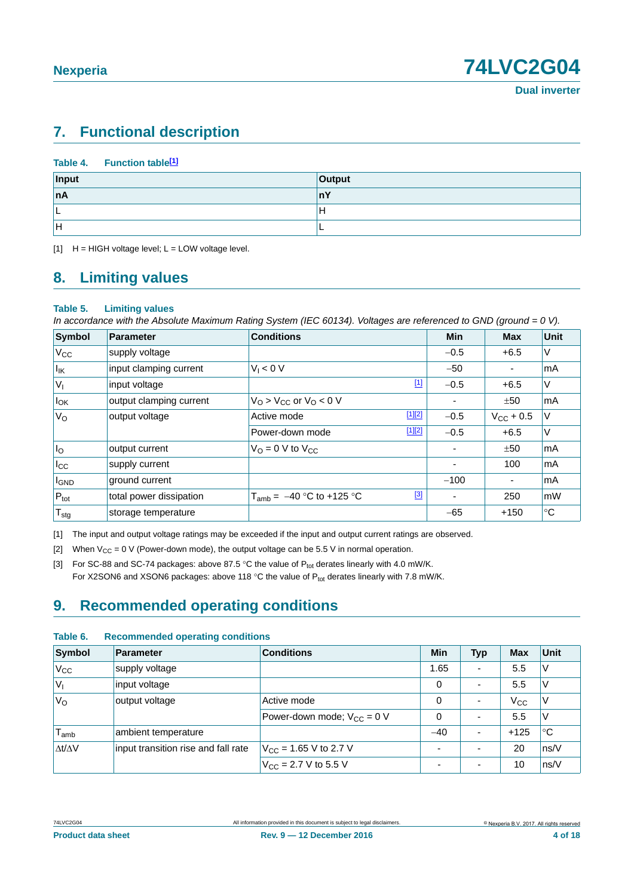## <span id="page-3-4"></span>**7. Functional description**

Table 4. Function table<sup>[1]</sup>

| Input | Output           |
|-------|------------------|
| nA    | $\mathbf{u}$<br> |
|       | п                |
| lН    |                  |

<span id="page-3-0"></span> $[1]$  H = HIGH voltage level; L = LOW voltage level.

#### <span id="page-3-5"></span>**8. Limiting values**

#### **Table 5. Limiting values**

*In accordance with the Absolute Maximum Rating System (IEC 60134). Voltages are referenced to GND (ground = 0 V).*

| <b>Symbol</b>     | <b>Parameter</b>        | <b>Conditions</b>                      | Min    | <b>Max</b>               | <b>Unit</b> |
|-------------------|-------------------------|----------------------------------------|--------|--------------------------|-------------|
| $V_{CC}$          | supply voltage          |                                        | $-0.5$ | $+6.5$                   | V           |
| $I_{\mathsf{IK}}$ | input clamping current  | $V_1 < 0$ V                            | $-50$  | $\overline{\phantom{a}}$ | mA          |
| $V_{I}$           | input voltage           | $\boxed{1}$                            | $-0.5$ | $+6.5$                   | V           |
| $I_{OK}$          | output clamping current | $VO > VCC$ or $VO < 0$ V               |        | ±50                      | mA          |
| $V_{\rm O}$       | output voltage          | [1][2]<br>Active mode                  | $-0.5$ | $V_{\rm CC}$ + 0.5       | ٧           |
|                   |                         | $[1][2]$<br>Power-down mode            | $-0.5$ | $+6.5$                   | ٧           |
| I <sub>o</sub>    | output current          | $V_{\Omega} = 0$ V to $V_{\text{CC}}$  |        | ±50                      | mA          |
| $I_{\rm CC}$      | supply current          |                                        |        | 100                      | mA          |
| <b>I</b> GND      | ground current          |                                        | $-100$ | ٠                        | mA          |
| $P_{\text{tot}}$  | total power dissipation | $[3]$<br>$T_{amb} = -40$ °C to +125 °C |        | 250                      | mW          |
| $T_{\text{stg}}$  | storage temperature     |                                        | $-65$  | $+150$                   | $^{\circ}C$ |

<span id="page-3-1"></span>[1] The input and output voltage ratings may be exceeded if the input and output current ratings are observed.

<span id="page-3-2"></span>[2] When  $V_{CC} = 0$  V (Power-down mode), the output voltage can be 5.5 V in normal operation.

<span id="page-3-3"></span>[3] For SC-88 and SC-74 packages: above 87.5 °C the value of  $P_{tot}$  derates linearly with 4.0 mW/K. For X2SON6 and XSON6 packages: above 118 °C the value of  $P_{tot}$  derates linearly with 7.8 mW/K.

## <span id="page-3-6"></span>**9. Recommended operating conditions**

| Table 6.<br><b>Recommended operating conditions</b> |                                     |                                   |            |                          |            |      |  |
|-----------------------------------------------------|-------------------------------------|-----------------------------------|------------|--------------------------|------------|------|--|
| <b>Symbol</b>                                       | <b>Parameter</b>                    | <b>Conditions</b>                 | <b>Min</b> | <b>Typ</b>               | <b>Max</b> | Unit |  |
| $V_{\rm CC}$                                        | supply voltage                      |                                   | 1.65       | $\overline{\phantom{0}}$ | 5.5        |      |  |
| $V_{I}$                                             | input voltage                       |                                   | 0          | $\overline{\phantom{0}}$ | 5.5        |      |  |
| $V_{\rm O}$                                         | output voltage                      | Active mode                       | 0          | $\overline{\phantom{a}}$ | $V_{CC}$   |      |  |
|                                                     |                                     | Power-down mode; $V_{CC} = 0$ V   | 0          | $\overline{\phantom{0}}$ | 5.5        |      |  |
| $T_{amb}$                                           | ambient temperature                 |                                   | $-40$      | $\overline{\phantom{a}}$ | $+125$     | °C   |  |
| $\Delta t/\Delta V$                                 | input transition rise and fall rate | $V_{\text{CC}}$ = 1.65 V to 2.7 V |            | ۰                        | 20         | ns/V |  |
|                                                     |                                     | $V_{CC}$ = 2.7 V to 5.5 V         |            | $\overline{\phantom{a}}$ | 10         | ns/V |  |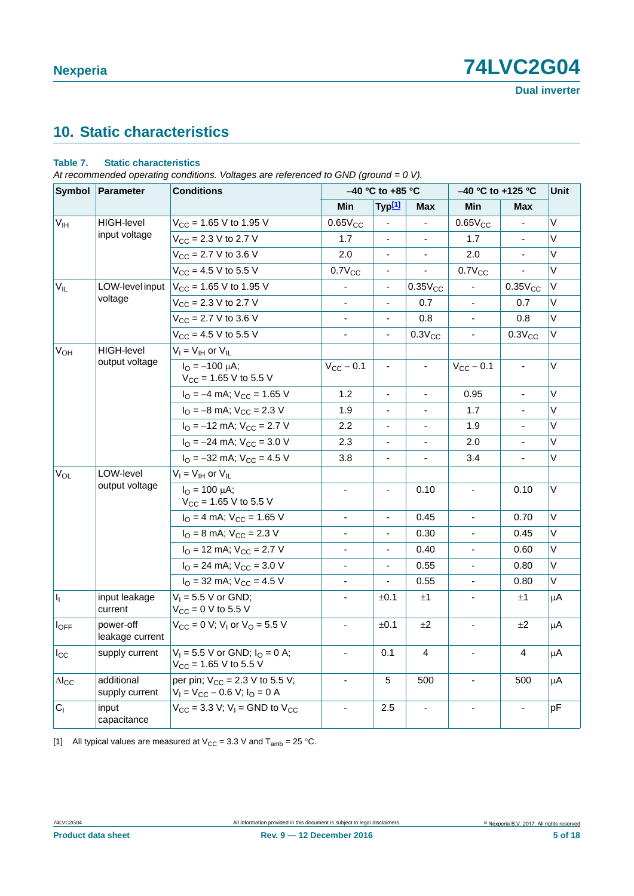## <span id="page-4-2"></span>**10. Static characteristics**

#### <span id="page-4-1"></span>**Table 7. Static characteristics**

*At recommended operating conditions. Voltages are referenced to GND (ground = 0 V).*

| Symbol                             | Parameter                    | <b>Conditions</b>                                                        | -40 °C to +85 °C         |                              |                          | -40 °C to +125 °C |                          | Unit    |
|------------------------------------|------------------------------|--------------------------------------------------------------------------|--------------------------|------------------------------|--------------------------|-------------------|--------------------------|---------|
|                                    |                              |                                                                          | Min                      | Typ <sup>[1]</sup>           | <b>Max</b>               | Min               | <b>Max</b>               |         |
| V <sub>IH</sub>                    | <b>HIGH-level</b>            | $V_{CC}$ = 1.65 V to 1.95 V                                              | $0.65V_{CC}$             |                              |                          | $0.65V_{CC}$      |                          | V       |
| input voltage                      | $V_{CC}$ = 2.3 V to 2.7 V    | 1.7                                                                      | $\blacksquare$           | $\blacksquare$               | 1.7                      | ÷.                | V                        |         |
|                                    |                              | $V_{CC}$ = 2.7 V to 3.6 V                                                | 2.0                      |                              |                          | 2.0               |                          | V       |
|                                    |                              | $V_{CC}$ = 4.5 V to 5.5 V                                                | $0.7V_{CC}$              | $\qquad \qquad \blacksquare$ |                          | $0.7V_{CC}$       |                          | $\vee$  |
| V <sub>IL</sub>                    | LOW-level input              | $V_{CC}$ = 1.65 V to 1.95 V                                              | $\blacksquare$           | $\blacksquare$               | $0.35V_{CC}$             | $\blacksquare$    | $0.35V_{CC}$             | V       |
| voltage                            |                              | $V_{\text{CC}} = 2.3 \text{ V}$ to 2.7 V                                 | $\overline{\phantom{a}}$ | $\blacksquare$               | 0.7                      | $\blacksquare$    | 0.7                      | V       |
|                                    |                              | $V_{\text{CC}} = 2.7 \text{ V}$ to 3.6 V                                 | $\overline{\phantom{a}}$ | $\overline{\phantom{a}}$     | 0.8                      | $\mathbf{r}$      | 0.8                      | $\vee$  |
|                                    |                              | $V_{CC}$ = 4.5 V to 5.5 V                                                |                          | $\blacksquare$               | $0.3V_{CC}$              |                   | $0.3V_{CC}$              | V       |
| <b>V<sub>OH</sub></b>              | HIGH-level                   | $V_I = V_{IH}$ or $V_{IL}$                                               |                          |                              |                          |                   |                          |         |
|                                    | output voltage               | $I_{\text{O}} = -100 \mu\text{A}$ ;<br>$V_{CC}$ = 1.65 V to 5.5 V        | $V_{CC}$ - 0.1           | $\overline{\phantom{a}}$     |                          | $V_{CC}$ - 0.1    |                          | V       |
|                                    |                              | $I_{\text{O}} = -4 \text{ mA}$ ; $V_{\text{CC}} = 1.65 \text{ V}$        | 1.2                      |                              |                          | 0.95              |                          | $\vee$  |
|                                    |                              | $I_{\text{O}} = -8 \text{ mA}$ ; $V_{\text{CC}} = 2.3 \text{ V}$         | 1.9                      | $\overline{\phantom{a}}$     | $\blacksquare$           | 1.7               | $\blacksquare$           | V       |
|                                    |                              | $I_{\text{O}} = -12 \text{ mA}$ ; $V_{\text{CC}} = 2.7 \text{ V}$        | 2.2                      | $\overline{\phantom{a}}$     | $\blacksquare$           | 1.9               | $\overline{\phantom{a}}$ | V       |
|                                    |                              | $I_{\text{O}} = -24 \text{ mA}$ ; $V_{\text{CC}} = 3.0 \text{ V}$        | 2.3                      | $\blacksquare$               | ÷,                       | 2.0               |                          | V       |
|                                    |                              | $I_{\text{O}} = -32 \text{ mA}$ ; $V_{\text{CC}} = 4.5 \text{ V}$        | 3.8                      |                              |                          | 3.4               |                          | $\vee$  |
| <b>V<sub>OL</sub></b><br>LOW-level |                              | $V_I = V_{IH}$ or $V_{IL}$                                               |                          |                              |                          |                   |                          |         |
|                                    | output voltage               | $I_{\Omega} = 100 \mu A$ ;<br>$V_{CC}$ = 1.65 V to 5.5 V                 | $\blacksquare$           | $\blacksquare$               | 0.10                     | $\blacksquare$    | 0.10                     | V       |
|                                    |                              | $I_O = 4$ mA; $V_{CC} = 1.65$ V                                          | $\blacksquare$           | $\blacksquare$               | 0.45                     |                   | 0.70                     | $\vee$  |
|                                    |                              | $IO = 8$ mA; $VCC = 2.3$ V                                               | $\blacksquare$           | $\blacksquare$               | 0.30                     | $\blacksquare$    | 0.45                     | V       |
|                                    |                              | $IO$ = 12 mA; $VCC$ = 2.7 V                                              | $\blacksquare$           | ÷,                           | 0.40                     | $\blacksquare$    | 0.60                     | $\vee$  |
|                                    |                              | $IO = 24$ mA; $VCC = 3.0$ V                                              |                          | $\overline{\phantom{a}}$     | 0.55                     | $\blacksquare$    | 0.80                     | $\vee$  |
|                                    |                              | $IO$ = 32 mA; $VCC$ = 4.5 V                                              |                          |                              | 0.55                     |                   | 0.80                     | $\vee$  |
| H,                                 | input leakage<br>current     | $V_1 = 5.5$ V or GND;<br>$V_{CC} = 0 V$ to 5.5 V                         |                          | ±0.1                         | ±1                       |                   | ±1                       | $\mu$ A |
| $I_{OFF}$                          | power-off<br>leakage current | $V_{CC}$ = 0 V; V <sub>1</sub> or V <sub>O</sub> = 5.5 V                 |                          | ±0.1                         | ±2                       |                   | ±2                       | $\mu$ A |
| $I_{\rm CC}$                       | supply current               | $V_1 = 5.5$ V or GND; $I_0 = 0$ A;<br>$V_{CC}$ = 1.65 V to 5.5 V         | $\blacksquare$           | 0.1                          | 4                        | $\sim$            | 4                        | $\mu$ A |
| $\Delta I_{CC}$                    | additional<br>supply current | per pin; $V_{CC} = 2.3 V$ to 5.5 V;<br>$V_1 = V_{CC} - 0.6 V; I_0 = 0 A$ | $\blacksquare$           | 5                            | 500                      | $\blacksquare$    | 500                      | μA      |
| $C_1$                              | input<br>capacitance         | $V_{CC}$ = 3.3 V; V <sub>1</sub> = GND to V <sub>CC</sub>                | $\blacksquare$           | 2.5                          | $\overline{\phantom{a}}$ |                   |                          | pF      |

<span id="page-4-0"></span>[1] All typical values are measured at  $V_{CC} = 3.3$  V and  $T_{amb} = 25$  °C.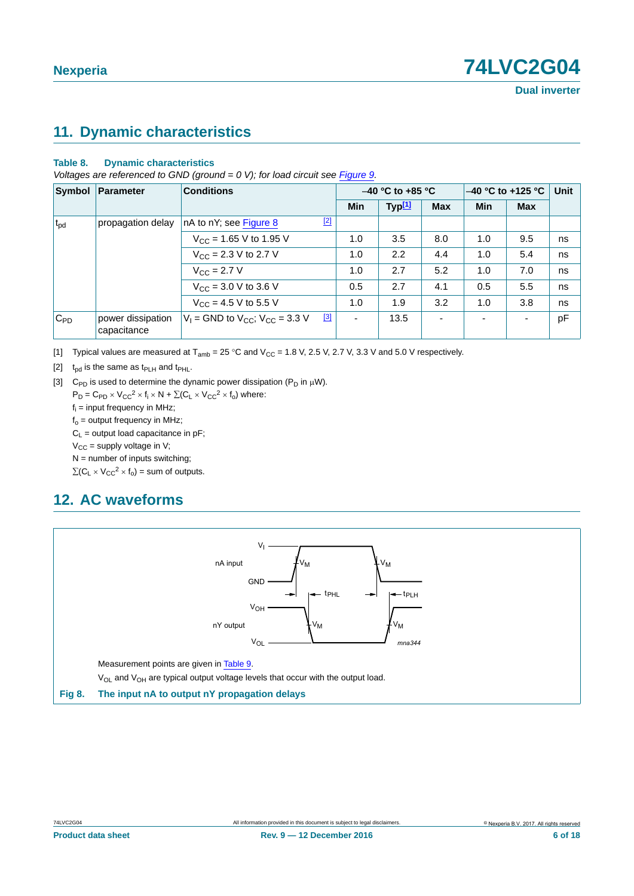## <span id="page-5-4"></span>**11. Dynamic characteristics**

#### **Table 8. Dynamic characteristics**

*Voltages are referenced to GND (ground = 0 V); for load circuit see [Figure 9.](#page-6-0)* 

|              | Symbol Parameter                 | <b>Conditions</b>                                 |                          | $-40$ °C to +85 °C |            | $-40$ °C to +125 °C | Unit           |    |
|--------------|----------------------------------|---------------------------------------------------|--------------------------|--------------------|------------|---------------------|----------------|----|
|              |                                  |                                                   | <b>Min</b>               | Typ <sup>[1]</sup> | <b>Max</b> | <b>Min</b>          | <b>Max</b>     |    |
| $t_{\rm pd}$ | propagation delay                | $[2]$<br>nA to nY; see Figure 8                   |                          |                    |            |                     |                |    |
|              |                                  | $V_{\text{CC}}$ = 1.65 V to 1.95 V                | 1.0                      | 3.5                | 8.0        | 1.0                 | 9.5            | ns |
|              |                                  | $V_{\text{CC}} = 2.3 \text{ V}$ to 2.7 V          | 1.0                      | 2.2                | 4.4        | 1.0                 | 5.4            | ns |
|              |                                  | $V_{\text{CC}} = 2.7 V$                           | 1.0                      | 2.7                | 5.2        | 1.0                 | 7.0            | ns |
|              |                                  | $V_{CC}$ = 3.0 V to 3.6 V                         | 0.5                      | 2.7                | 4.1        | 0.5                 | 5.5            | ns |
|              |                                  | $V_{CC}$ = 4.5 V to 5.5 V                         | 1.0                      | 1.9                | 3.2        | 1.0                 | 3.8            | ns |
| $C_{PD}$     | power dissipation<br>capacitance | [3]<br>$V_1$ = GND to $V_{CC}$ ; $V_{CC}$ = 3.3 V | $\overline{\phantom{a}}$ | 13.5               | $\sim$     | $\overline{a}$      | $\blacksquare$ | pF |

<span id="page-5-0"></span>[1] Typical values are measured at  $T_{amb} = 25 \degree C$  and  $V_{CC} = 1.8 \text{ V}$ , 2.5 V, 2.7 V, 3.3 V and 5.0 V respectively.

<span id="page-5-2"></span>[2]  $t_{\rm od}$  is the same as  $t_{\rm PLH}$  and  $t_{\rm PHL}$ .

<span id="page-5-3"></span>[3] C<sub>PD</sub> is used to determine the dynamic power dissipation ( $P_D$  in  $\mu$ W).

 $P_D = C_{PD} \times V_{CC}^2 \times f_i \times N + \Sigma (C_L \times V_{CC}^2 \times f_o)$  where:

 $f_i$  = input frequency in MHz;

 $f<sub>o</sub>$  = output frequency in MHz;

 $C_L$  = output load capacitance in pF;

 $V_{CC}$  = supply voltage in V;

 $N =$  number of inputs switching;

 $\sum(C_L \times V_{CC}^2 \times f_0)$  = sum of outputs.

## <span id="page-5-5"></span>**12. AC waveforms**

<span id="page-5-1"></span>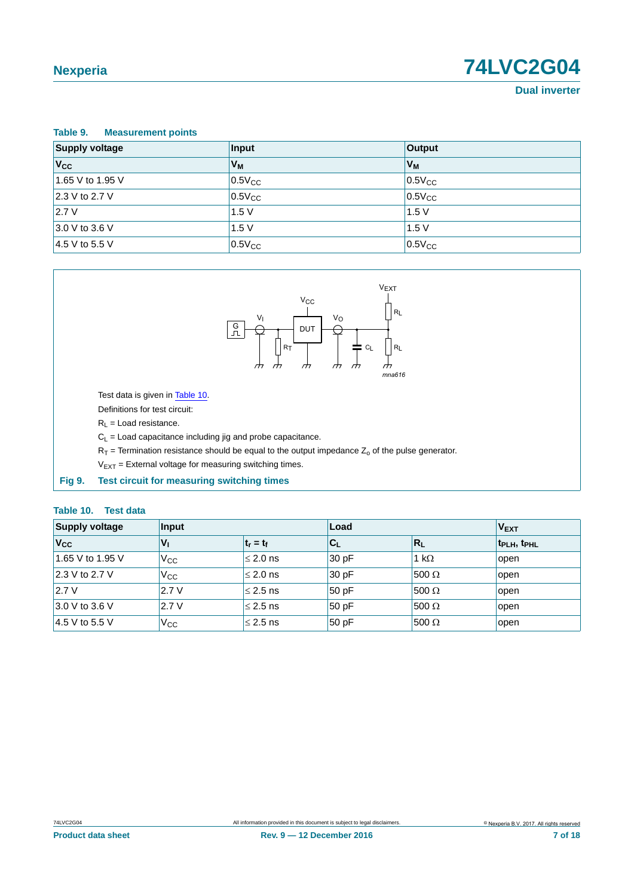| <b>Supply voltage</b> | Input       | Output         |  |  |  |
|-----------------------|-------------|----------------|--|--|--|
| <b>V<sub>cc</sub></b> | $V_{M}$     | V <sub>M</sub> |  |  |  |
| 1.65 V to 1.95 V      | $0.5V_{CC}$ | $0.5V_{CC}$    |  |  |  |
| 2.3 V to 2.7 V        | $0.5V_{CC}$ | $0.5V_{CC}$    |  |  |  |
| 2.7V                  | 1.5V        | 1.5V           |  |  |  |
| 3.0 V to 3.6 V        | 1.5V        | 1.5V           |  |  |  |
| 4.5 V to 5.5 V        | $0.5V_{CC}$ | $0.5V_{CC}$    |  |  |  |

#### <span id="page-6-1"></span>**Table 9. Measurement points**



Test data is given in [Table 10.](#page-6-2)

Definitions for test circuit:

 $R_L$  = Load resistance.

 $C_L$  = Load capacitance including jig and probe capacitance.

 $R_T$  = Termination resistance should be equal to the output impedance  $Z_0$  of the pulse generator.

 $V_{EXT}$  = External voltage for measuring switching times.

<span id="page-6-0"></span>**Fig 9. Test circuit for measuring switching times**

#### <span id="page-6-2"></span>**Table 10. Test data**

| <b>Supply voltage</b>            | Input          |               | Load  |              | $V_{EXT}$                           |
|----------------------------------|----------------|---------------|-------|--------------|-------------------------------------|
| $V_{\rm CC}$                     | V <sub>I</sub> | $t_r = t_f$   | ιc∟   | $R_L$        | t <sub>PLH</sub> , t <sub>PHL</sub> |
| 1.65 V to 1.95 V                 | $V_{\rm CC}$   | $\leq$ 2.0 ns | 30pF  | 1 k $\Omega$ | open                                |
| $ 2.3 \vee \text{ to } 2.7 \vee$ | $V_{CC}$       | $\leq$ 2.0 ns | 30 pF | 500 $\Omega$ | open                                |
| 2.7V                             | 2.7V           | $\leq$ 2.5 ns | 50pF  | 500 $\Omega$ | open                                |
| $3.0 V$ to 3.6 V                 | 2.7V           | $\leq$ 2.5 ns | 50pF  | $500 \Omega$ | open                                |
| $14.5$ V to 5.5 V                | $V_{\rm CC}$   | $\leq$ 2.5 ns | 50pF  | 500 $\Omega$ | open                                |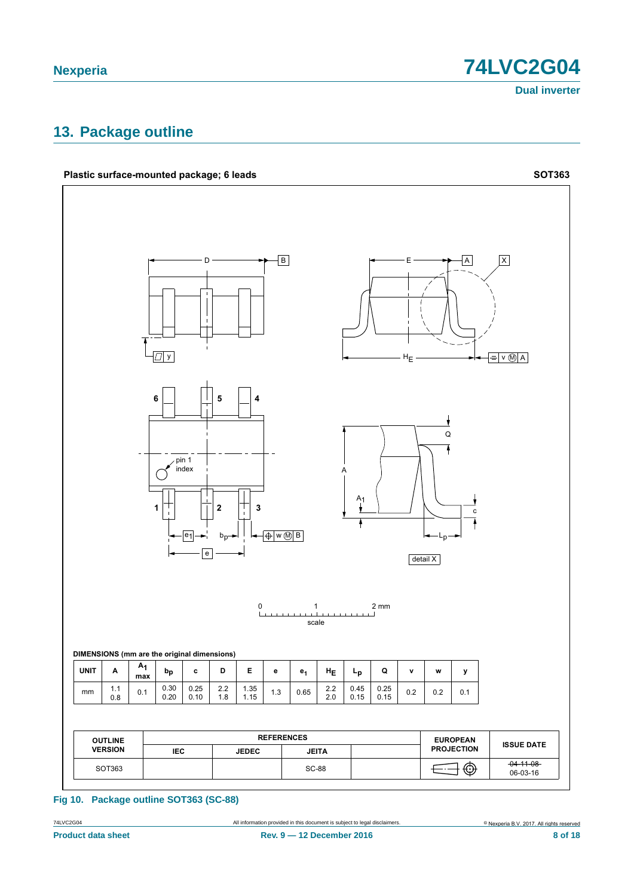## <span id="page-7-0"></span>13. Package outline



Fig 10. Package outline SOT363 (SC-88)

All information provided in this document is subject to legal disclaimers.

74LVC2G04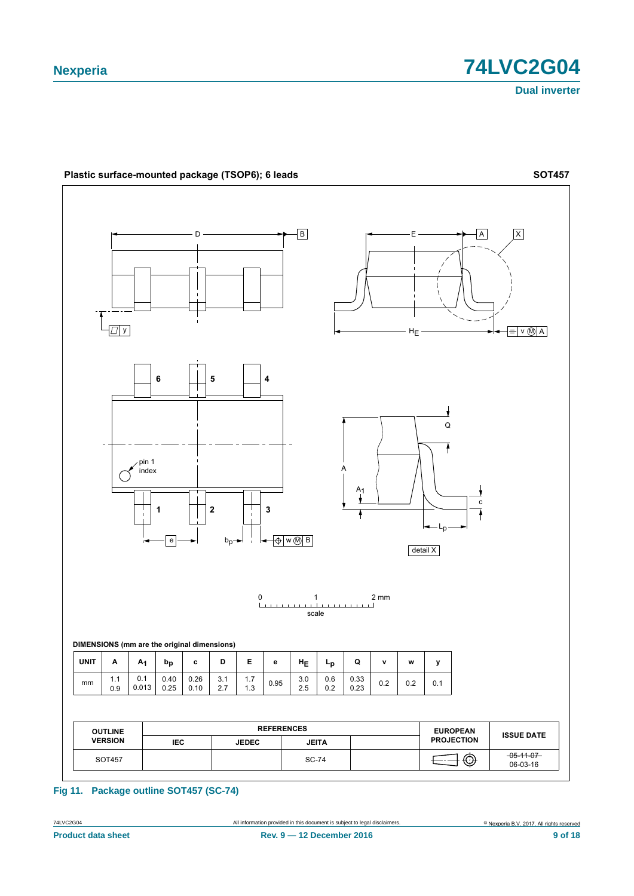

**Fig 11. Package outline SOT457 (SC-74)**

© Nexperia B.V. 2017. All rights reserved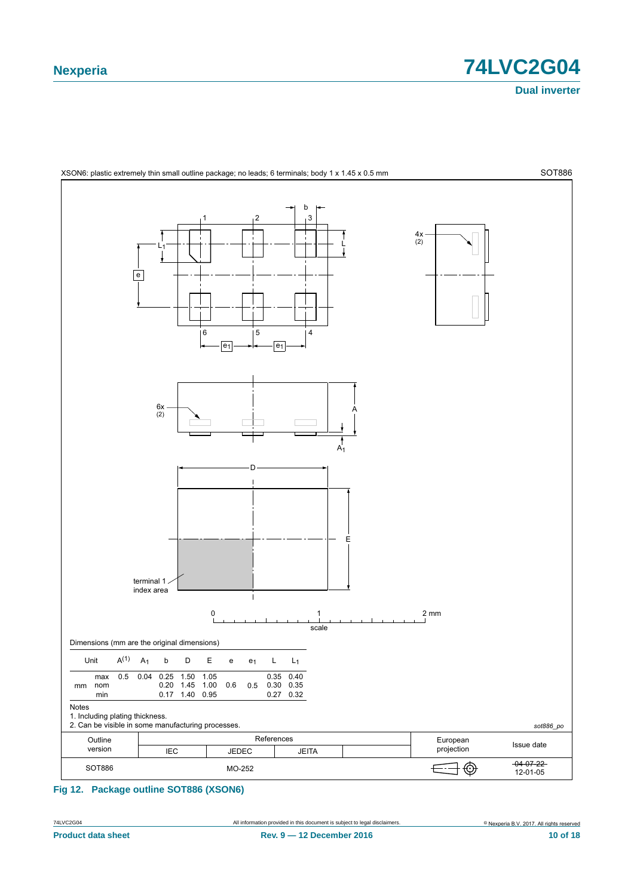

<span id="page-9-0"></span>**Fig 12. Package outline SOT886 (XSON6)**

© Nexperia B.V. 2017. All rights reserved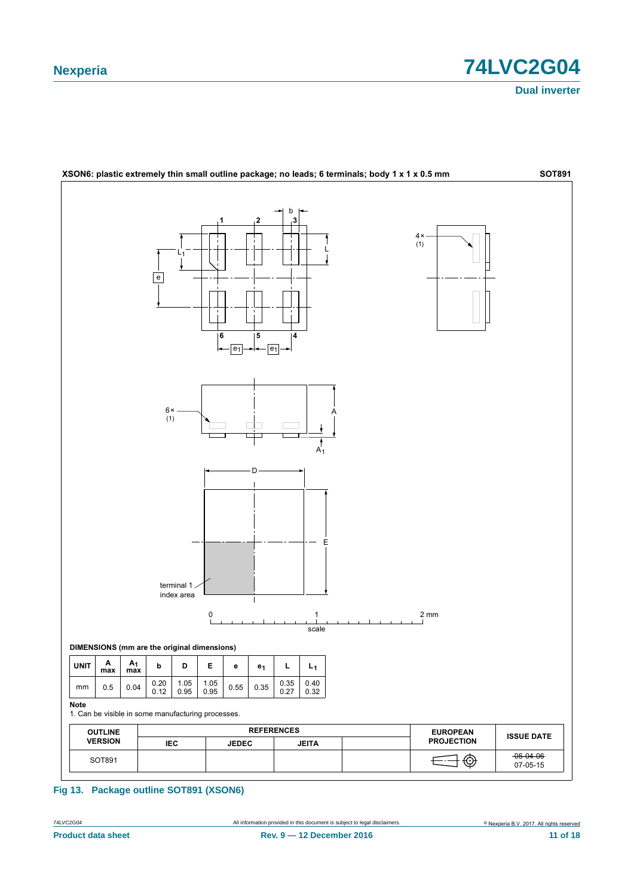

Fig 13. Package outline SOT891 (XSON6)

74LVC2G04 **Product data sheet**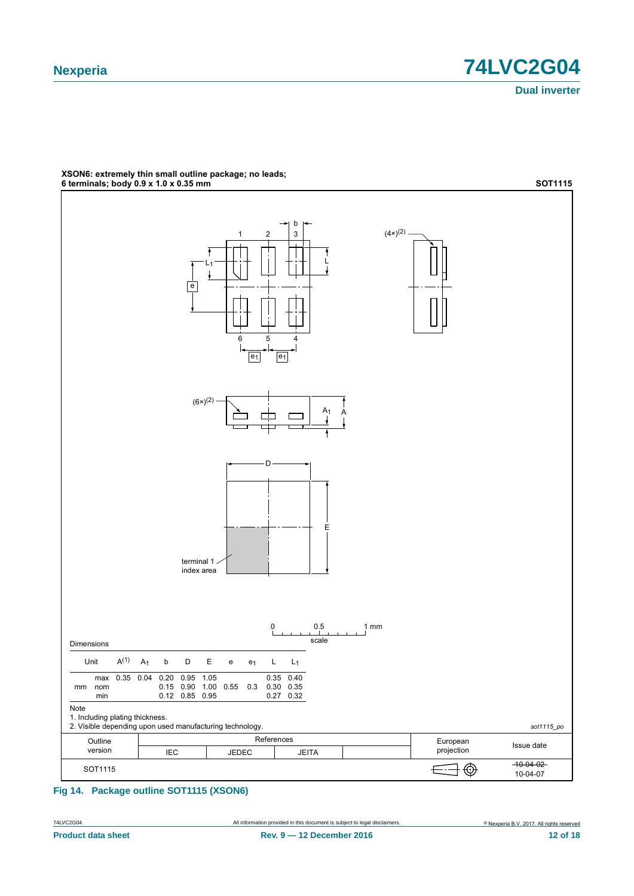

# XSON6: extremely thin small outline package; no leads;<br>6 terminals; body 0.9 x 1.0 x 0.35 mm

Fig 14. Package outline SOT1115 (XSON6)

74LVC2G04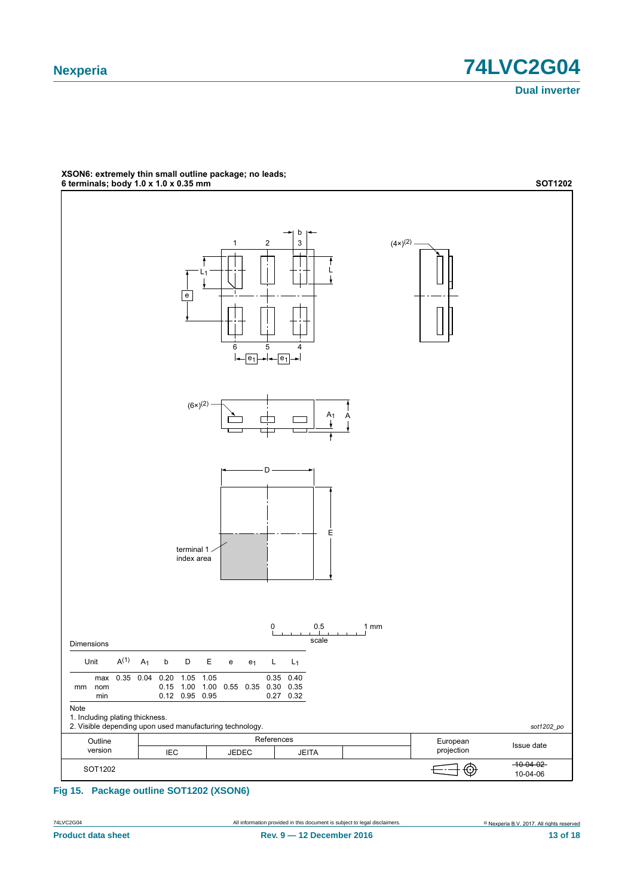

# XSON6: extremely thin small outline package; no leads;<br>6 terminals; body 1.0 x 1.0 x 0.35 mm

Fig 15. Package outline SOT1202 (XSON6)

74LVC2G04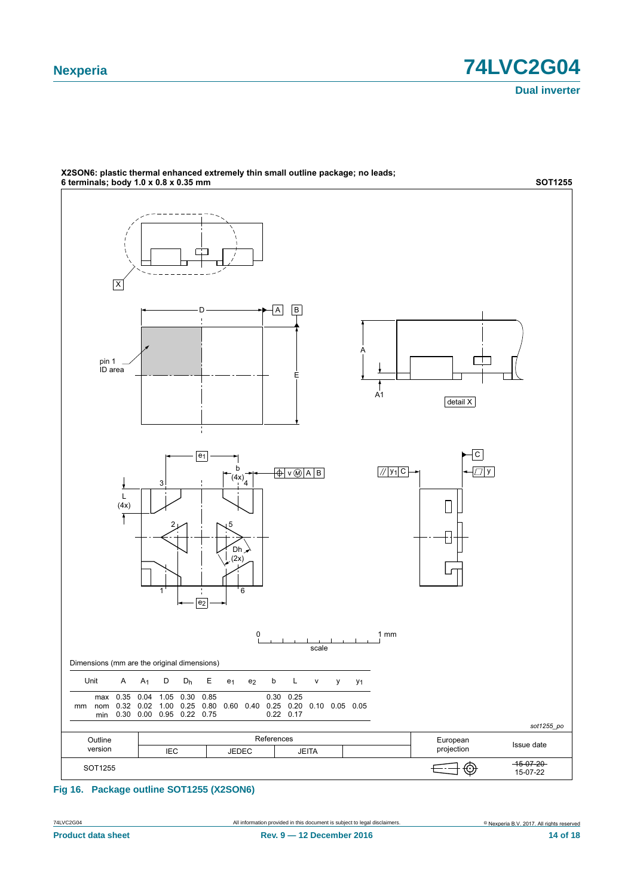

## **X2SON6: plastic thermal enhanced extremely thin small outline package; no leads;**

**Fig 16. Package outline SOT1255 (X2SON6)**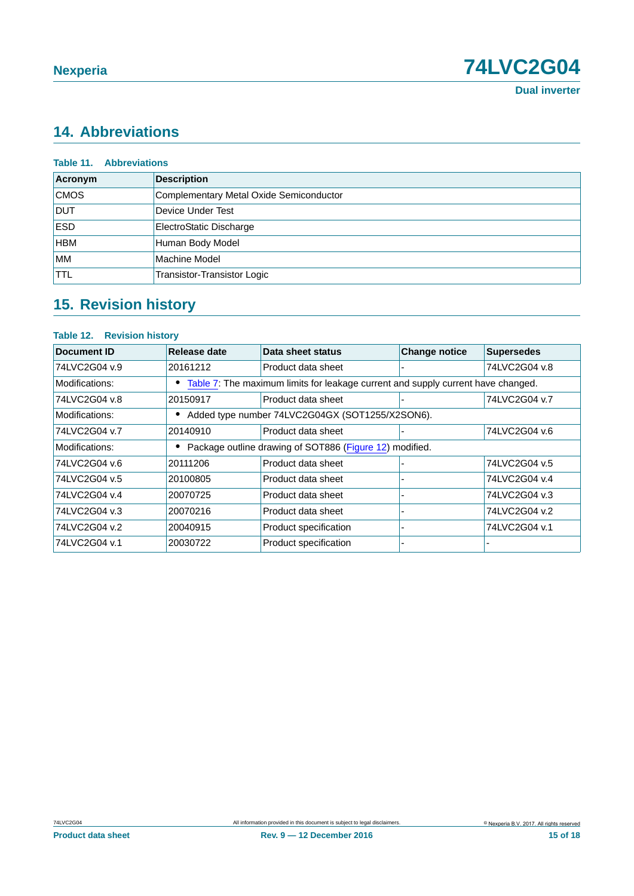

## <span id="page-14-0"></span>**14. Abbreviations**

| Acronym     | <b>Description</b>                      |
|-------------|-----------------------------------------|
| <b>CMOS</b> | Complementary Metal Oxide Semiconductor |
| <b>DUT</b>  | Device Under Test                       |
| <b>ESD</b>  | ElectroStatic Discharge                 |
| <b>HBM</b>  | Human Body Model                        |
| <b>MM</b>   | Machine Model                           |
| <b>TTL</b>  | <b>Transistor-Transistor Logic</b>      |

## <span id="page-14-1"></span>**15. Revision history**

#### **Table 12. Revision history**

| <b>Document ID</b> | Release date                                                                     | Data sheet status                                       | <b>Change notice</b> | <b>Supersedes</b> |  |  |
|--------------------|----------------------------------------------------------------------------------|---------------------------------------------------------|----------------------|-------------------|--|--|
| 74LVC2G04 v.9      | 20161212                                                                         | Product data sheet                                      |                      | 74LVC2G04 v.8     |  |  |
| Modifications:     | Table 7: The maximum limits for leakage current and supply current have changed. |                                                         |                      |                   |  |  |
| 74LVC2G04 v.8      | 20150917                                                                         | Product data sheet                                      |                      | 74LVC2G04 v.7     |  |  |
| Modifications:     |                                                                                  | Added type number 74LVC2G04GX (SOT1255/X2SON6).         |                      |                   |  |  |
| 74LVC2G04 v.7      | 20140910                                                                         | Product data sheet                                      |                      | 74LVC2G04 v.6     |  |  |
| Modifications:     |                                                                                  | Package outline drawing of SOT886 (Figure 12) modified. |                      |                   |  |  |
| 74LVC2G04 v.6      | 20111206                                                                         | Product data sheet                                      |                      | 74LVC2G04 v.5     |  |  |
| 74LVC2G04 v.5      | 20100805                                                                         | Product data sheet                                      |                      | 74LVC2G04 v.4     |  |  |
| 74LVC2G04 v.4      | 20070725                                                                         | Product data sheet                                      |                      | 74LVC2G04 v.3     |  |  |
| 74LVC2G04 v.3      | 20070216                                                                         | Product data sheet                                      |                      | 74LVC2G04 v.2     |  |  |
| 74LVC2G04 v.2      | 20040915                                                                         | Product specification                                   |                      | 74LVC2G04 v.1     |  |  |
| 74LVC2G04 v.1      | 20030722                                                                         | Product specification                                   |                      |                   |  |  |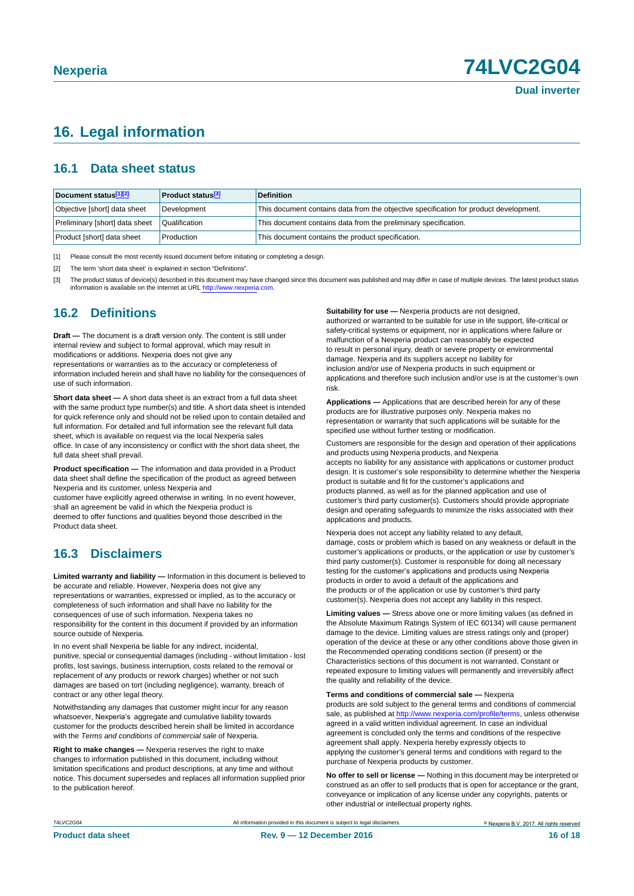#### <span id="page-15-3"></span>**16. Legal information**

#### <span id="page-15-4"></span>**16.1 Data sheet status**

| Document status[1][2]          | <b>Product status</b> <sup>[3]</sup> | <b>Definition</b>                                                                     |
|--------------------------------|--------------------------------------|---------------------------------------------------------------------------------------|
| Objective [short] data sheet   | Development                          | This document contains data from the objective specification for product development. |
| Preliminary [short] data sheet | Qualification                        | This document contains data from the preliminary specification.                       |
| Product [short] data sheet     | Production                           | This document contains the product specification.                                     |

<span id="page-15-0"></span>[1] Please consult the most recently issued document before initiating or completing a design.

<span id="page-15-1"></span>[2] The term 'short data sheet' is explained in section "Definitions".

<span id="page-15-2"></span>[3] The product status of device(s) described in this document may have changed since this document was published and may differ in case of multiple devices. The latest product status<br>information is available on the Intern

#### <span id="page-15-5"></span>**16.2 Definitions**

**Draft —** The document is a draft version only. The content is still under internal review and subject to formal approval, which may result in modifications or additions. Nexperia does not give any

representations or warranties as to the accuracy or completeness of information included herein and shall have no liability for the consequences of use of such information.

**Short data sheet —** A short data sheet is an extract from a full data sheet with the same product type number(s) and title. A short data sheet is intended for quick reference only and should not be relied upon to contain detailed and full information. For detailed and full information see the relevant full data sheet, which is available on request via the local Nexperia sales office. In case of any inconsistency or conflict with the short data sheet, the full data sheet shall prevail.

**Product specification —** The information and data provided in a Product data sheet shall define the specification of the product as agreed between Nexperia and its customer, unless Nexperia and

customer have explicitly agreed otherwise in writing. In no event however, shall an agreement be valid in which the Nexperia product is deemed to offer functions and qualities beyond those described in the Product data sheet.

#### <span id="page-15-6"></span>**16.3 Disclaimers**

**Limited warranty and liability —** Information in this document is believed to be accurate and reliable. However, Nexperia does not give any representations or warranties, expressed or implied, as to the accuracy or completeness of such information and shall have no liability for the consequences of use of such information. Nexperia takes no responsibility for the content in this document if provided by an information source outside of Nexperia.

In no event shall Nexperia be liable for any indirect, incidental, punitive, special or consequential damages (including - without limitation - lost profits, lost savings, business interruption, costs related to the removal or replacement of any products or rework charges) whether or not such damages are based on tort (including negligence), warranty, breach of contract or any other legal theory.

Notwithstanding any damages that customer might incur for any reason whatsoever, Nexperia's aggregate and cumulative liability towards customer for the products described herein shall be limited in accordance with the *Terms and conditions of commercial sale* of Nexperia.

**Right to make changes —** Nexperia reserves the right to make changes to information published in this document, including without limitation specifications and product descriptions, at any time and without notice. This document supersedes and replaces all information supplied prior to the publication hereof.

**Suitability for use - Nexperia products are not designed** authorized or warranted to be suitable for use in life support, life-critical or safety-critical systems or equipment, nor in applications where failure or malfunction of a Nexperia product can reasonably be expected to result in personal injury, death or severe property or environmental damage. Nexperia and its suppliers accept no liability for inclusion and/or use of Nexperia products in such equipment or applications and therefore such inclusion and/or use is at the customer's own risk.

**Applications —** Applications that are described herein for any of these products are for illustrative purposes only. Nexperia makes no representation or warranty that such applications will be suitable for the specified use without further testing or modification.

Customers are responsible for the design and operation of their applications and products using Nexperia products, and Nexperia accepts no liability for any assistance with applications or customer product design. It is customer's sole responsibility to determine whether the Nexperia product is suitable and fit for the customer's applications and products planned, as well as for the planned application and use of customer's third party customer(s). Customers should provide appropriate design and operating safeguards to minimize the risks associated with their applications and products.

Nexperia does not accept any liability related to any default, damage, costs or problem which is based on any weakness or default in the customer's applications or products, or the application or use by customer's third party customer(s). Customer is responsible for doing all necessary testing for the customer's applications and products using Nexperia products in order to avoid a default of the applications and the products or of the application or use by customer's third party customer(s). Nexperia does not accept any liability in this respect.

**Limiting values —** Stress above one or more limiting values (as defined in the Absolute Maximum Ratings System of IEC 60134) will cause permanent damage to the device. Limiting values are stress ratings only and (proper) operation of the device at these or any other conditions above those given in the Recommended operating conditions section (if present) or the Characteristics sections of this document is not warranted. Constant or repeated exposure to limiting values will permanently and irreversibly affect the quality and reliability of the device.

**Terms and conditions of commercial sale —** Nexperia

products are sold subject to the general terms and conditions of commercial sale, as published at [http://www.nexperia.com/profile/te](http://www.nexperia.com/profile/terms)rms, unless otherwise agreed in a valid written individual agreement. In case an individual agreement is concluded only the terms and conditions of the respective agreement shall apply. Nexperia hereby expressly objects to applying the customer's general terms and conditions with regard to the purchase of Nexperia products by customer.

**No offer to sell or license —** Nothing in this document may be interpreted or construed as an offer to sell products that is open for acceptance or the grant, conveyance or implication of any license under any copyrights, patents or other industrial or intellectual property rights.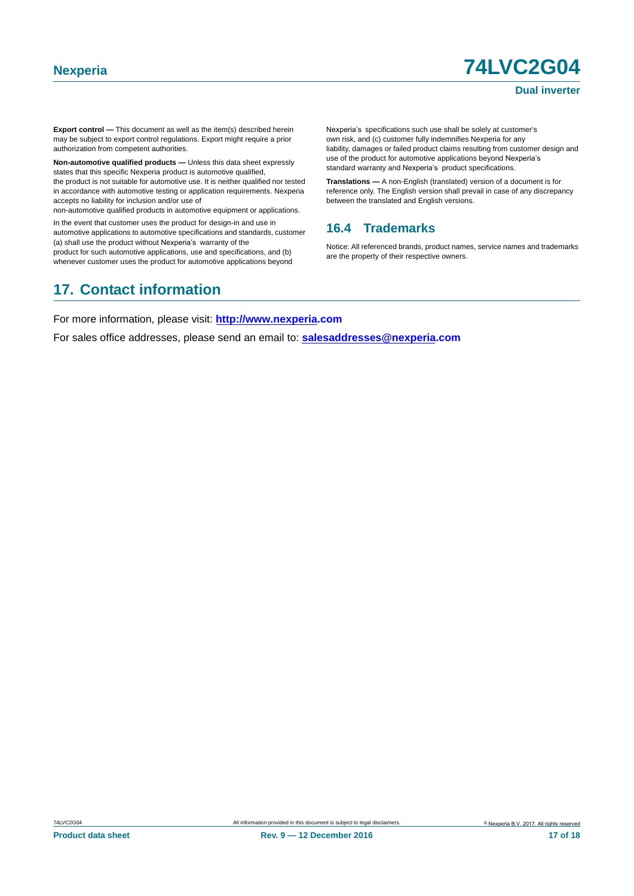# **Nexperia 74LVC2G04**

#### **Dual inverter**

**Export control —** This document as well as the item(s) described herein may be subject to export control regulations. Export might require a prior authorization from competent authorities.

**Non-automotive qualified products —** Unless this data sheet expressly states that this specific Nexperia product is automotive qualified, the product is not suitable for automotive use. It is neither qualified nor tested in accordance with automotive testing or application requirements. Nexperia accepts no liability for inclusion and/or use of

non-automotive qualified products in automotive equipment or applications.

In the event that customer uses the product for design-in and use in automotive applications to automotive specifications and standards, customer (a) shall use the product without Nexperia's warranty of the

product for such automotive applications, use and specifications, and (b) whenever customer uses the product for automotive applications beyond Nexperia's specifications such use shall be solely at customer's own risk, and (c) customer fully indemnifies Nexperia for any liability, damages or failed product claims resulting from customer design and use of the product for automotive applications beyond Nexperia's standard warranty and Nexperia's product specifications.

**Translations —** A non-English (translated) version of a document is for reference only. The English version shall prevail in case of any discrepancy between the translated and English versions.

#### <span id="page-16-0"></span>**16.4 Trademarks**

Notice: All referenced brands, product names, service names and trademarks are the property of their respective owners.

#### <span id="page-16-1"></span>**17. Contact information**

For more information, please visit: **http://www.nexperia.com**

For sales office addresses, please send an email to: **salesaddresses@nexperia.com**